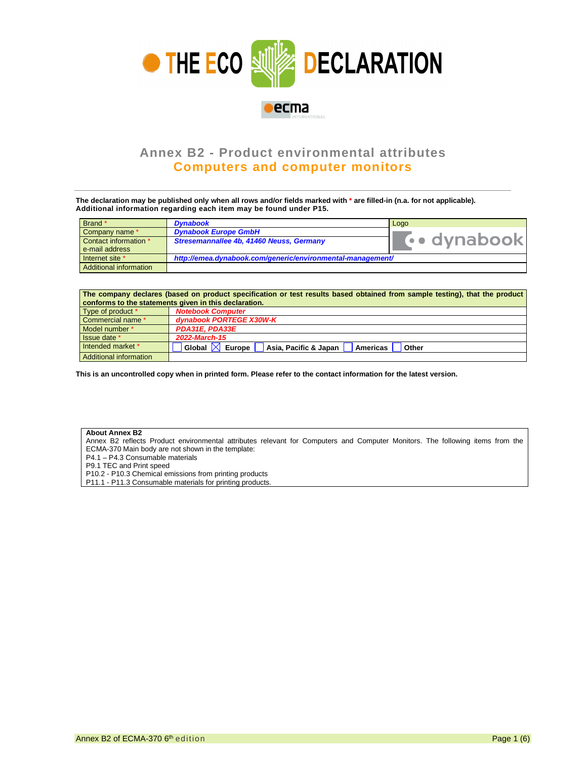

## **Annex B2 - Product environmental attributes Computers and computer monitors**

**The declaration may be published only when all rows and/or fields marked with \* are filled-in (n.a. for not applicable). Additional information regarding each item may be found under P15.**

| Brand *                | <b>Dynabook</b>                                            | Logo        |  |
|------------------------|------------------------------------------------------------|-------------|--|
| Company name *         | <b>Dynabook Europe GmbH</b>                                |             |  |
| Contact information *  | Stresemannallee 4b, 41460 Neuss, Germany                   | vo dynabook |  |
| e-mail address         |                                                            |             |  |
| Internet site *        | http://emea.dynabook.com/generic/environmental-management/ |             |  |
| Additional information |                                                            |             |  |

| The company declares (based on product specification or test results based obtained from sample testing), that the product<br>conforms to the statements given in this declaration. |                                                                             |  |  |  |  |
|-------------------------------------------------------------------------------------------------------------------------------------------------------------------------------------|-----------------------------------------------------------------------------|--|--|--|--|
| Type of product *                                                                                                                                                                   | <b>Notebook Computer</b>                                                    |  |  |  |  |
| Commercial name *                                                                                                                                                                   | dynabook PORTEGE X30W-K                                                     |  |  |  |  |
| Model number *                                                                                                                                                                      | PDA31E. PDA33E                                                              |  |  |  |  |
| Issue date *                                                                                                                                                                        | 2022-March-15                                                               |  |  |  |  |
| Intended market *                                                                                                                                                                   | Global $\mathbb{X}$<br>Europe<br>Asia, Pacific & Japan<br>Americas<br>Other |  |  |  |  |
| Additional information                                                                                                                                                              |                                                                             |  |  |  |  |

**This is an uncontrolled copy when in printed form. Please refer to the contact information for the latest version.** 

## **About Annex B2**

Annex B2 reflects Product environmental attributes relevant for Computers and Computer Monitors. The following items from the ECMA-370 Main body are not shown in the template:

P4.1 – P4.3 Consumable materials

P9.1 TEC and Print speed

P10.2 - P10.3 Chemical emissions from printing products

P11.1 - P11.3 Consumable materials for printing products.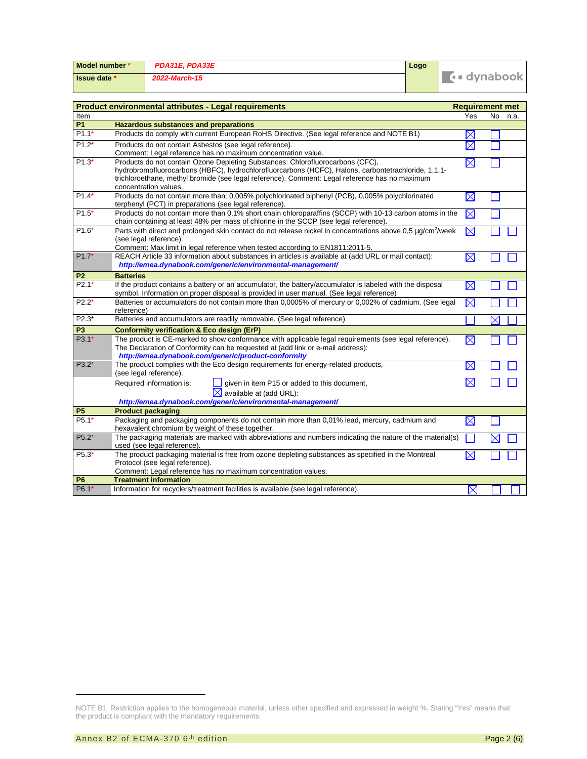| Model number *      | PDA31E. PDA33E | Logo |              |
|---------------------|----------------|------|--------------|
| <b>Issue date</b> * | 2022-March-15  |      | (•• dynabook |

| <b>Product environmental attributes - Legal requirements</b> | <b>Requirement met</b>                                                                                                                                                                                                                                                                                           |             |             |
|--------------------------------------------------------------|------------------------------------------------------------------------------------------------------------------------------------------------------------------------------------------------------------------------------------------------------------------------------------------------------------------|-------------|-------------|
| Item                                                         |                                                                                                                                                                                                                                                                                                                  | Yes         | No.<br>n.a. |
| <b>P1</b>                                                    | <b>Hazardous substances and preparations</b>                                                                                                                                                                                                                                                                     |             |             |
| $P1.1*$                                                      | Products do comply with current European RoHS Directive. (See legal reference and NOTE B1)                                                                                                                                                                                                                       | $\boxtimes$ |             |
| $P1.2*$                                                      | Products do not contain Asbestos (see legal reference).<br>Comment: Legal reference has no maximum concentration value.                                                                                                                                                                                          | $\boxtimes$ |             |
| $P1.3*$                                                      | Products do not contain Ozone Depleting Substances: Chlorofluorocarbons (CFC),<br>hydrobromofluorocarbons (HBFC), hydrochlorofluorcarbons (HCFC), Halons, carbontetrachloride, 1,1,1-<br>trichloroethane, methyl bromide (see legal reference). Comment: Legal reference has no maximum<br>concentration values. | $\boxtimes$ |             |
| $P1.4*$                                                      | Products do not contain more than; 0,005% polychlorinated biphenyl (PCB), 0,005% polychlorinated<br>terphenyl (PCT) in preparations (see legal reference).                                                                                                                                                       | $\boxtimes$ |             |
| $P1.5*$                                                      | Products do not contain more than 0,1% short chain chloroparaffins (SCCP) with 10-13 carbon atoms in the<br>chain containing at least 48% per mass of chlorine in the SCCP (see legal reference).                                                                                                                | $\boxtimes$ |             |
| $P1.6*$                                                      | Parts with direct and prolonged skin contact do not release nickel in concentrations above 0.5 µg/cm <sup>2</sup> /week<br>(see legal reference).<br>Comment: Max limit in legal reference when tested according to EN1811:2011-5.                                                                               | $\boxtimes$ |             |
| $P1.7*$                                                      | REACH Article 33 information about substances in articles is available at (add URL or mail contact):<br>http://emea.dynabook.com/generic/environmental-management/                                                                                                                                               | $\boxtimes$ |             |
| P <sub>2</sub>                                               | <b>Batteries</b>                                                                                                                                                                                                                                                                                                 |             |             |
| $P2.1*$                                                      | If the product contains a battery or an accumulator, the battery/accumulator is labeled with the disposal<br>symbol. Information on proper disposal is provided in user manual. (See legal reference)                                                                                                            | $\boxtimes$ |             |
| $P2.2*$                                                      | Batteries or accumulators do not contain more than 0,0005% of mercury or 0,002% of cadmium. (See legal<br>reference)                                                                                                                                                                                             | $\boxtimes$ |             |
| $P2.3*$                                                      | Batteries and accumulators are readily removable. (See legal reference)                                                                                                                                                                                                                                          |             | $\boxtimes$ |
| P <sub>3</sub>                                               | <b>Conformity verification &amp; Eco design (ErP)</b>                                                                                                                                                                                                                                                            |             |             |
| $P3.1*$                                                      | The product is CE-marked to show conformance with applicable legal requirements (see legal reference).<br>The Declaration of Conformity can be requested at (add link or e-mail address):<br>http://emea.dynabook.com/generic/product-conformity                                                                 | $\boxtimes$ |             |
| $P3.2*$                                                      | The product complies with the Eco design requirements for energy-related products,<br>(see legal reference).                                                                                                                                                                                                     | $\boxtimes$ |             |
|                                                              | given in item P15 or added to this document,<br>Required information is;<br>$\boxtimes$ available at (add URL):<br>http://emea.dynabook.com/generic/environmental-management/                                                                                                                                    | $\boxtimes$ |             |
| <b>P5</b>                                                    | <b>Product packaging</b>                                                                                                                                                                                                                                                                                         |             |             |
| $P5.1*$                                                      | Packaging and packaging components do not contain more than 0,01% lead, mercury, cadmium and<br>hexavalent chromium by weight of these together.                                                                                                                                                                 | $\boxtimes$ |             |
| $P5.2*$                                                      | The packaging materials are marked with abbreviations and numbers indicating the nature of the material(s)<br>used (see legal reference).                                                                                                                                                                        |             | X           |
| P5.3*                                                        | The product packaging material is free from ozone depleting substances as specified in the Montreal<br>Protocol (see legal reference).<br>Comment: Legal reference has no maximum concentration values.                                                                                                          | $\boxtimes$ |             |
| P <sub>6</sub>                                               | <b>Treatment information</b>                                                                                                                                                                                                                                                                                     |             |             |
| P6.1*                                                        | Information for recyclers/treatment facilities is available (see legal reference).                                                                                                                                                                                                                               | $\boxtimes$ |             |

NOTE B1 Restriction applies to the homogeneous material, unless other specified and expressed in weight %. Stating "Yes" means that the product is compliant with the mandatory requirements.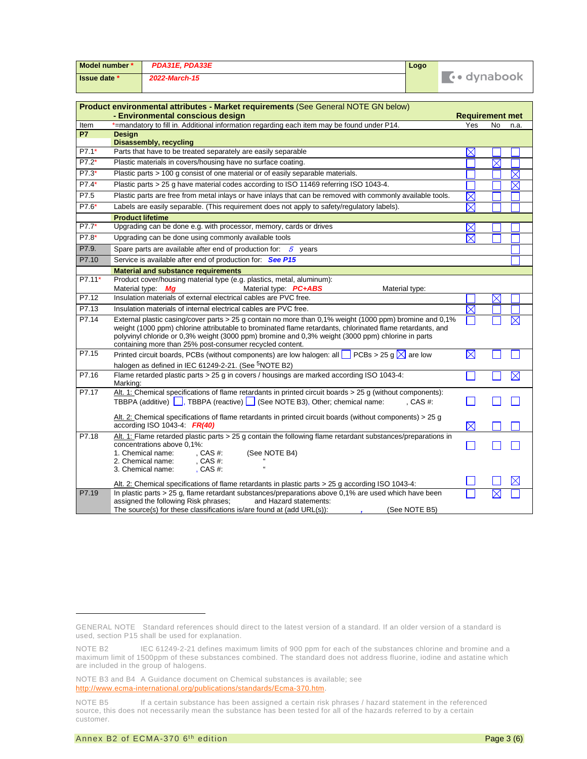| Model number *                                                                     |                                                                                                                                                                                                                                                                                                                                                                                       | PDA31E, PDA33E                                                                                                                                                                                                                                                       | Logo                |                        |             |             |  |
|------------------------------------------------------------------------------------|---------------------------------------------------------------------------------------------------------------------------------------------------------------------------------------------------------------------------------------------------------------------------------------------------------------------------------------------------------------------------------------|----------------------------------------------------------------------------------------------------------------------------------------------------------------------------------------------------------------------------------------------------------------------|---------------------|------------------------|-------------|-------------|--|
| Issue date *                                                                       |                                                                                                                                                                                                                                                                                                                                                                                       | 2022-March-15                                                                                                                                                                                                                                                        | <b>T</b> · dynabook |                        |             |             |  |
| Product environmental attributes - Market requirements (See General NOTE GN below) |                                                                                                                                                                                                                                                                                                                                                                                       |                                                                                                                                                                                                                                                                      |                     |                        |             |             |  |
|                                                                                    |                                                                                                                                                                                                                                                                                                                                                                                       | - Environmental conscious design                                                                                                                                                                                                                                     |                     | <b>Requirement met</b> |             |             |  |
| Item                                                                               |                                                                                                                                                                                                                                                                                                                                                                                       | *=mandatory to fill in. Additional information regarding each item may be found under P14.                                                                                                                                                                           |                     | Yes                    | No          | n.a.        |  |
| <b>P7</b>                                                                          | <b>Design</b>                                                                                                                                                                                                                                                                                                                                                                         |                                                                                                                                                                                                                                                                      |                     |                        |             |             |  |
| P7.1*                                                                              | <b>Disassembly, recycling</b><br>Parts that have to be treated separately are easily separable<br>$\times$                                                                                                                                                                                                                                                                            |                                                                                                                                                                                                                                                                      |                     |                        |             |             |  |
| $P7.2*$                                                                            |                                                                                                                                                                                                                                                                                                                                                                                       | Plastic materials in covers/housing have no surface coating.                                                                                                                                                                                                         |                     |                        | $\boxtimes$ |             |  |
| P7.3*                                                                              |                                                                                                                                                                                                                                                                                                                                                                                       | Plastic parts > 100 g consist of one material or of easily separable materials.                                                                                                                                                                                      |                     |                        |             | $\boxtimes$ |  |
| P7.4*                                                                              |                                                                                                                                                                                                                                                                                                                                                                                       | Plastic parts > 25 g have material codes according to ISO 11469 referring ISO 1043-4.                                                                                                                                                                                |                     |                        |             | $\boxtimes$ |  |
| P7.5                                                                               |                                                                                                                                                                                                                                                                                                                                                                                       | Plastic parts are free from metal inlays or have inlays that can be removed with commonly available tools.                                                                                                                                                           |                     | $\boxtimes$            |             |             |  |
| P7.6*                                                                              |                                                                                                                                                                                                                                                                                                                                                                                       | Labels are easily separable. (This requirement does not apply to safety/regulatory labels).                                                                                                                                                                          |                     | $\boxtimes$            |             |             |  |
|                                                                                    | <b>Product lifetime</b>                                                                                                                                                                                                                                                                                                                                                               |                                                                                                                                                                                                                                                                      |                     |                        |             |             |  |
| P7.7*                                                                              |                                                                                                                                                                                                                                                                                                                                                                                       | Upgrading can be done e.g. with processor, memory, cards or drives                                                                                                                                                                                                   |                     | $\times$               |             |             |  |
| P7.8*                                                                              |                                                                                                                                                                                                                                                                                                                                                                                       | Upgrading can be done using commonly available tools                                                                                                                                                                                                                 |                     | $\boxtimes$            |             |             |  |
| P7.9.                                                                              |                                                                                                                                                                                                                                                                                                                                                                                       | Spare parts are available after end of production for: $5$<br>years                                                                                                                                                                                                  |                     |                        |             |             |  |
| P7.10                                                                              |                                                                                                                                                                                                                                                                                                                                                                                       | Service is available after end of production for: See P15                                                                                                                                                                                                            |                     |                        |             |             |  |
|                                                                                    | <b>Material and substance requirements</b>                                                                                                                                                                                                                                                                                                                                            |                                                                                                                                                                                                                                                                      |                     |                        |             |             |  |
| P7.11*                                                                             |                                                                                                                                                                                                                                                                                                                                                                                       | Product cover/housing material type (e.g. plastics, metal, aluminum):<br>Material type: Mg<br>Material type: PC+ABS<br>Material type:                                                                                                                                |                     |                        |             |             |  |
| P7.12                                                                              |                                                                                                                                                                                                                                                                                                                                                                                       | Insulation materials of external electrical cables are PVC free.                                                                                                                                                                                                     |                     |                        | $\times$    |             |  |
| P7.13                                                                              |                                                                                                                                                                                                                                                                                                                                                                                       | Insulation materials of internal electrical cables are PVC free.                                                                                                                                                                                                     |                     | $\boxtimes$            |             |             |  |
| P7.14                                                                              | External plastic casing/cover parts > 25 g contain no more than 0,1% weight (1000 ppm) bromine and 0,1%<br>weight (1000 ppm) chlorine attributable to brominated flame retardants, chlorinated flame retardants, and<br>polyvinyl chloride or 0,3% weight (3000 ppm) bromine and 0,3% weight (3000 ppm) chlorine in parts<br>containing more than 25% post-consumer recycled content. |                                                                                                                                                                                                                                                                      |                     |                        |             |             |  |
| P7.15                                                                              |                                                                                                                                                                                                                                                                                                                                                                                       | Printed circuit boards, PCBs (without components) are low halogen: all $\Box$ PCBs > 25 g $\boxtimes$ are low                                                                                                                                                        |                     | $\boxtimes$            |             |             |  |
|                                                                                    |                                                                                                                                                                                                                                                                                                                                                                                       | halogen as defined in IEC 61249-2-21. (See <sup>5</sup> NOTE B2)                                                                                                                                                                                                     |                     |                        |             |             |  |
| P7.16                                                                              | Marking:                                                                                                                                                                                                                                                                                                                                                                              | Flame retarded plastic parts > 25 g in covers / housings are marked according ISO 1043-4:                                                                                                                                                                            |                     |                        |             | $\boxtimes$ |  |
| P7.17                                                                              |                                                                                                                                                                                                                                                                                                                                                                                       | Alt. 1: Chemical specifications of flame retardants in printed circuit boards $>$ 25 g (without components):                                                                                                                                                         |                     |                        |             |             |  |
|                                                                                    |                                                                                                                                                                                                                                                                                                                                                                                       | TBBPA (additive) $\boxed{\phantom{a}}$ , TBBPA (reactive) $\boxed{\phantom{a}}$ (See NOTE B3), Other; chemical name:                                                                                                                                                 | $CAS#$ :            |                        |             |             |  |
|                                                                                    |                                                                                                                                                                                                                                                                                                                                                                                       | Alt. 2: Chemical specifications of flame retardants in printed circuit boards (without components) > 25 g<br>according ISO 1043-4: $FR(40)$                                                                                                                          |                     | $\boxtimes$            |             |             |  |
| P7.18                                                                              |                                                                                                                                                                                                                                                                                                                                                                                       | Alt. 1: Flame retarded plastic parts > 25 g contain the following flame retardant substances/preparations in<br>concentrations above 0.1%:<br>1. Chemical name:<br>(See NOTE B4)<br>, CAS $#$ :<br>, CAS #:<br>2. Chemical name:<br>3. Chemical name:<br>, CAS $#$ : |                     |                        |             |             |  |
|                                                                                    |                                                                                                                                                                                                                                                                                                                                                                                       | Alt. 2: Chemical specifications of flame retardants in plastic parts > 25 g according ISO 1043-4:                                                                                                                                                                    |                     |                        |             |             |  |
| P7.19                                                                              |                                                                                                                                                                                                                                                                                                                                                                                       | In plastic parts $> 25$ g, flame retardant substances/preparations above 0,1% are used which have been<br>assigned the following Risk phrases;<br>and Hazard statements:<br>The source(s) for these classifications is/are found at (add URL(s)):                    | (See NOTE B5)       |                        |             |             |  |

GENERAL NOTE Standard references should direct to the latest version of a standard. If an older version of a standard is used, section P15 shall be used for explanation.

NOTE B2 IEC 61249-2-21 defines maximum limits of 900 ppm for each of the substances chlorine and bromine and a maximum limit of 1500ppm of these substances combined. The standard does not address fluorine, iodine and astatine which are included in the group of halogens.

NOTE B3 and B4 A Guidance document on Chemical substances is available; see http://www.ecma-international.org/publications/standards/Ecma-370.htm.

NOTE B5 If a certain substance has been assigned a certain risk phrases / hazard statement in the referenced source, this does not necessarily mean the substance has been tested for all of the hazards referred to by a certain customer.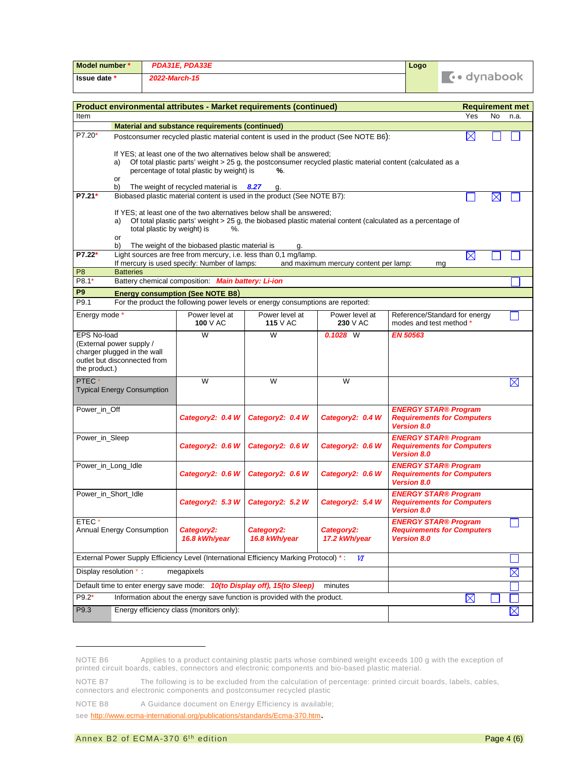| Model number *                                                                                                      |                                                                                                                                                               |                             | PDA31E, PDA33E                                     |                                                                                 |                                                                                                             | Logo                              |                                                                  |          |             |
|---------------------------------------------------------------------------------------------------------------------|---------------------------------------------------------------------------------------------------------------------------------------------------------------|-----------------------------|----------------------------------------------------|---------------------------------------------------------------------------------|-------------------------------------------------------------------------------------------------------------|-----------------------------------|------------------------------------------------------------------|----------|-------------|
| Issue date *                                                                                                        | 2022-March-15                                                                                                                                                 |                             |                                                    |                                                                                 | <b>To dynabook</b>                                                                                          |                                   |                                                                  |          |             |
|                                                                                                                     |                                                                                                                                                               |                             |                                                    |                                                                                 |                                                                                                             |                                   |                                                                  |          |             |
|                                                                                                                     | Product environmental attributes - Market requirements (continued)<br><b>Requirement met</b>                                                                  |                             |                                                    |                                                                                 |                                                                                                             |                                   |                                                                  |          |             |
| Item                                                                                                                |                                                                                                                                                               |                             | Material and substance requirements (continued)    |                                                                                 |                                                                                                             |                                   | Yes                                                              | No       | n.a.        |
| $P7.20*$                                                                                                            |                                                                                                                                                               |                             |                                                    |                                                                                 | Postconsumer recycled plastic material content is used in the product (See NOTE B6):                        |                                   | $\bowtie$                                                        |          |             |
|                                                                                                                     |                                                                                                                                                               |                             |                                                    |                                                                                 |                                                                                                             |                                   |                                                                  |          |             |
|                                                                                                                     | a)                                                                                                                                                            |                             |                                                    | If YES; at least one of the two alternatives below shall be answered;           |                                                                                                             |                                   |                                                                  |          |             |
|                                                                                                                     | Of total plastic parts' weight > 25 g, the postconsumer recycled plastic material content (calculated as a<br>percentage of total plastic by weight) is<br>%. |                             |                                                    |                                                                                 |                                                                                                             |                                   |                                                                  |          |             |
|                                                                                                                     | or<br>b)                                                                                                                                                      |                             | The weight of recycled material is $8.27$          | g.                                                                              |                                                                                                             |                                   |                                                                  |          |             |
| P7.21*                                                                                                              |                                                                                                                                                               |                             |                                                    | Biobased plastic material content is used in the product (See NOTE B7):         |                                                                                                             |                                   |                                                                  | $\times$ |             |
|                                                                                                                     |                                                                                                                                                               |                             |                                                    | If YES; at least one of the two alternatives below shall be answered;           |                                                                                                             |                                   |                                                                  |          |             |
|                                                                                                                     | a)                                                                                                                                                            |                             | total plastic by weight) is<br>$\%$ .              |                                                                                 | Of total plastic parts' weight > 25 g, the biobased plastic material content (calculated as a percentage of |                                   |                                                                  |          |             |
|                                                                                                                     | or                                                                                                                                                            |                             |                                                    |                                                                                 |                                                                                                             |                                   |                                                                  |          |             |
| P7.22*                                                                                                              | b)                                                                                                                                                            |                             | The weight of the biobased plastic material is     | g.<br>Light sources are free from mercury, i.e. less than 0,1 mg/lamp.          |                                                                                                             |                                   | $\boxtimes$                                                      |          |             |
|                                                                                                                     |                                                                                                                                                               |                             | If mercury is used specify: Number of lamps:       |                                                                                 | and maximum mercury content per lamp:                                                                       |                                   | ma                                                               |          |             |
| P <sub>8</sub><br>P8.1*                                                                                             | <b>Batteries</b>                                                                                                                                              |                             | Battery chemical composition: Main battery: Li-ion |                                                                                 |                                                                                                             |                                   |                                                                  |          |             |
| P <sub>9</sub>                                                                                                      |                                                                                                                                                               |                             | <b>Energy consumption (See NOTE B8)</b>            |                                                                                 |                                                                                                             |                                   |                                                                  |          |             |
| P9.1                                                                                                                |                                                                                                                                                               |                             |                                                    | For the product the following power levels or energy consumptions are reported: |                                                                                                             |                                   |                                                                  |          |             |
| Energy mode *                                                                                                       |                                                                                                                                                               |                             | Power level at                                     | Power level at                                                                  | Power level at                                                                                              |                                   | Reference/Standard for energy                                    |          |             |
|                                                                                                                     |                                                                                                                                                               |                             | 100 $V$ AC                                         | <b>115</b> V AC                                                                 | 230 V AC                                                                                                    | modes and test method *           |                                                                  |          |             |
| <b>EPS No-load</b>                                                                                                  | (External power supply /                                                                                                                                      |                             | W                                                  | W                                                                               | $0.1028$ W                                                                                                  | <b>EN 50563</b>                   |                                                                  |          |             |
|                                                                                                                     | charger plugged in the wall                                                                                                                                   |                             |                                                    |                                                                                 |                                                                                                             |                                   |                                                                  |          |             |
| the product.)                                                                                                       | outlet but disconnected from                                                                                                                                  |                             |                                                    |                                                                                 |                                                                                                             |                                   |                                                                  |          |             |
| PTEC*                                                                                                               |                                                                                                                                                               |                             | W                                                  | W                                                                               | W                                                                                                           |                                   |                                                                  |          | $\boxtimes$ |
|                                                                                                                     | <b>Typical Energy Consumption</b>                                                                                                                             |                             |                                                    |                                                                                 |                                                                                                             |                                   |                                                                  |          |             |
| Power_in_Off                                                                                                        |                                                                                                                                                               |                             |                                                    |                                                                                 |                                                                                                             |                                   | <b>ENERGY STAR® Program</b>                                      |          |             |
|                                                                                                                     |                                                                                                                                                               |                             | Category2: 0.4 W                                   | Category2: 0.4 W                                                                | Category2: 0.4 W                                                                                            |                                   | <b>Requirements for Computers</b>                                |          |             |
|                                                                                                                     |                                                                                                                                                               |                             |                                                    |                                                                                 |                                                                                                             | <b>Version 8.0</b>                |                                                                  |          |             |
| Power_in_Sleep                                                                                                      |                                                                                                                                                               |                             | Category2: 0.6 W                                   | Category2: 0.6 W                                                                | Category2: 0.6 W                                                                                            |                                   | <b>ENERGY STAR® Program</b><br><b>Requirements for Computers</b> |          |             |
|                                                                                                                     |                                                                                                                                                               |                             |                                                    |                                                                                 |                                                                                                             | <b>Version 8.0</b>                |                                                                  |          |             |
| Power_in_Long_Idle                                                                                                  |                                                                                                                                                               |                             | Category2: 0.6 W                                   | Category2: 0.6 W                                                                | Category2: 0.6 W                                                                                            |                                   | <b>ENERGY STAR® Program</b><br><b>Requirements for Computers</b> |          |             |
|                                                                                                                     |                                                                                                                                                               |                             |                                                    |                                                                                 |                                                                                                             | <b>Version 8.0</b>                |                                                                  |          |             |
| Power_in_Short_Idle                                                                                                 |                                                                                                                                                               |                             |                                                    |                                                                                 |                                                                                                             |                                   | <b>ENERGY STAR® Program</b>                                      |          |             |
|                                                                                                                     | Category2: 5.3 W<br>Category2: 5.2 W<br>Category2: 5.4 W<br><b>Requirements for Computers</b><br><b>Version 8.0</b>                                           |                             |                                                    |                                                                                 |                                                                                                             |                                   |                                                                  |          |             |
| ETEC*                                                                                                               |                                                                                                                                                               |                             |                                                    |                                                                                 |                                                                                                             |                                   | <b>ENERGY STAR® Program</b>                                      |          |             |
| Annual Energy Consumption                                                                                           |                                                                                                                                                               | Category2:<br>16.8 kWh/year | Category2:<br>16.8 kWh/year                        | Category2:<br>17.2 kWh/year                                                     | <b>Version 8.0</b>                                                                                          | <b>Requirements for Computers</b> |                                                                  |          |             |
|                                                                                                                     |                                                                                                                                                               |                             |                                                    |                                                                                 |                                                                                                             |                                   |                                                                  |          |             |
| External Power Supply Efficiency Level (International Efficiency Marking Protocol) *:<br>$\boldsymbol{\mathcal{U}}$ |                                                                                                                                                               |                             |                                                    |                                                                                 |                                                                                                             |                                   |                                                                  |          |             |
| Display resolution *:<br>megapixels                                                                                 |                                                                                                                                                               |                             |                                                    |                                                                                 | $\boxtimes$                                                                                                 |                                   |                                                                  |          |             |
|                                                                                                                     |                                                                                                                                                               |                             |                                                    | Default time to enter energy save mode: 10(to Display off), 15(to Sleep)        | minutes                                                                                                     |                                   |                                                                  |          |             |
| $P9.2*$                                                                                                             |                                                                                                                                                               |                             |                                                    | Information about the energy save function is provided with the product.        |                                                                                                             |                                   | $\boxtimes$                                                      |          |             |
| P9.3                                                                                                                |                                                                                                                                                               |                             | Energy efficiency class (monitors only):           |                                                                                 |                                                                                                             |                                   |                                                                  |          | $\boxtimes$ |

NOTE B6 Applies to a product containing plastic parts whose combined weight exceeds 100 g with the exception of printed circuit boards, cables, connectors and electronic components and bio-based plastic material.

NOTE B7 The following is to be excluded from the calculation of percentage: printed circuit boards, labels, cables, connectors and electronic components and postconsumer recycled plastic

NOTE B8 A Guidance document on Energy Efficiency is available;

see http://www.ecma-international.org/publications/standards/Ecma-370.htm.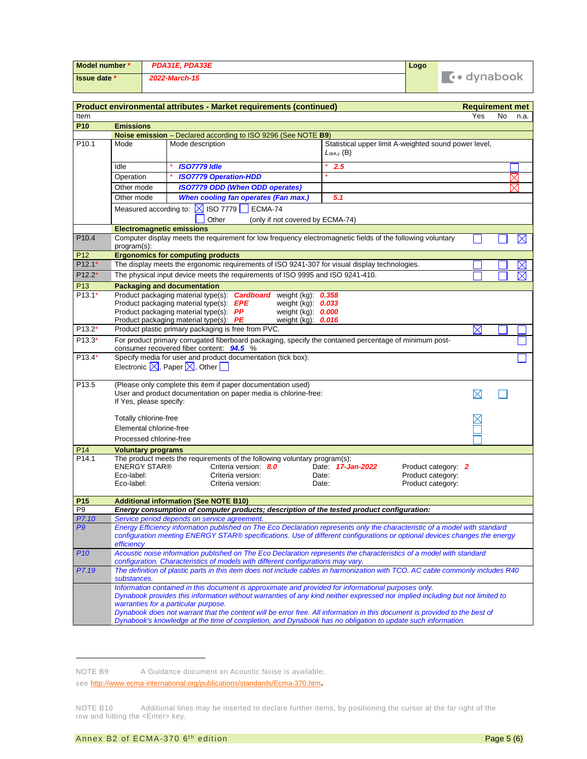| Model number * | PDA31E, PDA33E | Logo |              |
|----------------|----------------|------|--------------|
| Issue date *   | 2022-March-15  |      | L•• dvnabook |

|                   |                                                 | Product environmental attributes - Market requirements (continued)                                                                                                                                                                                                                                                                                                                                                                                                                                                      |                                                                                                      | <b>Requirement met</b> |    |             |
|-------------------|-------------------------------------------------|-------------------------------------------------------------------------------------------------------------------------------------------------------------------------------------------------------------------------------------------------------------------------------------------------------------------------------------------------------------------------------------------------------------------------------------------------------------------------------------------------------------------------|------------------------------------------------------------------------------------------------------|------------------------|----|-------------|
| Item              |                                                 |                                                                                                                                                                                                                                                                                                                                                                                                                                                                                                                         |                                                                                                      | Yes                    | No | n.a.        |
| P <sub>10</sub>   | <b>Emissions</b>                                |                                                                                                                                                                                                                                                                                                                                                                                                                                                                                                                         |                                                                                                      |                        |    |             |
|                   |                                                 | Noise emission - Declared according to ISO 9296 (See NOTE B9)                                                                                                                                                                                                                                                                                                                                                                                                                                                           |                                                                                                      |                        |    |             |
| P <sub>10.1</sub> | Mode                                            | Mode description                                                                                                                                                                                                                                                                                                                                                                                                                                                                                                        | Statistical upper limit A-weighted sound power level,<br>$L_{WA,c}$ (B)                              |                        |    |             |
|                   | Idle                                            | <b>ISO7779 Idle</b>                                                                                                                                                                                                                                                                                                                                                                                                                                                                                                     | 2.5                                                                                                  |                        |    |             |
|                   | Operation                                       | <b>ISO7779 Operation-HDD</b>                                                                                                                                                                                                                                                                                                                                                                                                                                                                                            |                                                                                                      |                        |    | ⊠           |
|                   | Other mode                                      | <b>ISO7779 ODD (When ODD operates)</b>                                                                                                                                                                                                                                                                                                                                                                                                                                                                                  |                                                                                                      |                        |    | $\times$    |
|                   | Other mode                                      | When cooling fan operates (Fan max.)                                                                                                                                                                                                                                                                                                                                                                                                                                                                                    | 5.1                                                                                                  |                        |    |             |
|                   |                                                 | Measured according to: $\boxtimes$ ISO 7779<br>ECMA-74<br>Other<br>(only if not covered by ECMA-74)                                                                                                                                                                                                                                                                                                                                                                                                                     |                                                                                                      |                        |    |             |
|                   | <b>Electromagnetic emissions</b>                |                                                                                                                                                                                                                                                                                                                                                                                                                                                                                                                         |                                                                                                      |                        |    |             |
| P10.4             | program(s):                                     | Computer display meets the requirement for low frequency electromagnetic fields of the following voluntary                                                                                                                                                                                                                                                                                                                                                                                                              |                                                                                                      |                        |    | $\boxtimes$ |
| P <sub>12</sub>   |                                                 | <b>Ergonomics for computing products</b>                                                                                                                                                                                                                                                                                                                                                                                                                                                                                |                                                                                                      |                        |    |             |
| $P12.1*$          |                                                 | The display meets the ergonomic requirements of ISO 9241-307 for visual display technologies.                                                                                                                                                                                                                                                                                                                                                                                                                           |                                                                                                      |                        |    |             |
| $P12.2*$          |                                                 | The physical input device meets the requirements of ISO 9995 and ISO 9241-410.                                                                                                                                                                                                                                                                                                                                                                                                                                          |                                                                                                      |                        |    | $\boxtimes$ |
| P <sub>13</sub>   |                                                 | <b>Packaging and documentation</b>                                                                                                                                                                                                                                                                                                                                                                                                                                                                                      |                                                                                                      |                        |    |             |
| $P13.1*$          |                                                 | Product packaging material type(s): <b>Cardboard</b> weight (kg): 0.358<br>Product packaging material type(s): EPE<br>weight $(kq)$ : $0.033$<br>Product packaging material type(s): PP<br>weight (kg): 0.000<br>Product packaging material type(s): PE<br>weight $(kg)$ : $0.016$                                                                                                                                                                                                                                      |                                                                                                      |                        |    |             |
| $P13.2*$          |                                                 | Product plastic primary packaging is free from PVC.                                                                                                                                                                                                                                                                                                                                                                                                                                                                     |                                                                                                      | $\boxtimes$            |    |             |
| $P13.3*$          |                                                 | For product primary corrugated fiberboard packaging, specify the contained percentage of minimum post-<br>consumer recovered fiber content: 94.5 %                                                                                                                                                                                                                                                                                                                                                                      |                                                                                                      |                        |    |             |
| $P13.4*$          |                                                 | Specify media for user and product documentation (tick box):                                                                                                                                                                                                                                                                                                                                                                                                                                                            |                                                                                                      |                        |    |             |
|                   |                                                 | Electronic $\boxtimes$ , Paper $\boxtimes$ , Other $\Box$                                                                                                                                                                                                                                                                                                                                                                                                                                                               |                                                                                                      |                        |    |             |
| P <sub>13.5</sub> | If Yes, please specify:                         | (Please only complete this item if paper documentation used)<br>User and product documentation on paper media is chlorine-free:                                                                                                                                                                                                                                                                                                                                                                                         |                                                                                                      | $\boxtimes$            |    |             |
|                   | Totally chlorine-free                           |                                                                                                                                                                                                                                                                                                                                                                                                                                                                                                                         |                                                                                                      |                        |    |             |
|                   | Elemental chlorine-free                         |                                                                                                                                                                                                                                                                                                                                                                                                                                                                                                                         |                                                                                                      |                        |    |             |
|                   | Processed chlorine-free                         |                                                                                                                                                                                                                                                                                                                                                                                                                                                                                                                         |                                                                                                      |                        |    |             |
| P <sub>14</sub>   | <b>Voluntary programs</b>                       |                                                                                                                                                                                                                                                                                                                                                                                                                                                                                                                         |                                                                                                      |                        |    |             |
| P <sub>14.1</sub> | <b>ENERGY STAR®</b><br>Eco-label:<br>Eco-label: | The product meets the requirements of the following voluntary program(s):<br>Criteria version: 8.0<br>Criteria version:<br>Criteria version:                                                                                                                                                                                                                                                                                                                                                                            | Date: 17-Jan-2022<br>Product category: 2<br>Product category:<br>Date:<br>Product category:<br>Date: |                        |    |             |
| P <sub>15</sub>   |                                                 | <b>Additional information (See NOTE B10)</b>                                                                                                                                                                                                                                                                                                                                                                                                                                                                            |                                                                                                      |                        |    |             |
| P9                |                                                 | Energy consumption of computer products; description of the tested product configuration:                                                                                                                                                                                                                                                                                                                                                                                                                               |                                                                                                      |                        |    |             |
| P7.10             |                                                 | Service period depends on service agreement.                                                                                                                                                                                                                                                                                                                                                                                                                                                                            |                                                                                                      |                        |    |             |
| P9                | efficiency                                      | Energy Efficiency information published on The Eco Declaration represents only the characteristic of a model with standard<br>configuration meeting ENERGY STAR® specifications. Use of different configurations or optional devices changes the energy                                                                                                                                                                                                                                                                 |                                                                                                      |                        |    |             |
| <b>P10</b>        |                                                 | Acoustic noise information published on The Eco Declaration represents the characteristics of a model with standard<br>configuration. Characteristics of models with different configurations may vary.                                                                                                                                                                                                                                                                                                                 |                                                                                                      |                        |    |             |
| P7.19             | substances.                                     | The definition of plastic parts in this item does not include cables in harmonization with TCO. AC cable commonly includes R40                                                                                                                                                                                                                                                                                                                                                                                          |                                                                                                      |                        |    |             |
|                   |                                                 | Information contained in this document is approximate and provided for informational purposes only.<br>Dynabook provides this information without warranties of any kind neither expressed nor implied including but not limited to<br>warranties for a particular purpose.<br>Dynabook does not warrant that the content will be error free. All information in this document is provided to the best of<br>Dynabook's knowledge at the time of completion, and Dynabook has no obligation to update such information. |                                                                                                      |                        |    |             |

NOTE B9 A Guidance document on Acoustic Noise is available;

see http://www.ecma-international.org/publications/standards/Ecma-370.htm.

NOTE B10 Additional lines may be inserted to declare further items, by positioning the cursor at the far right of the row and hitting the <Enter> key.